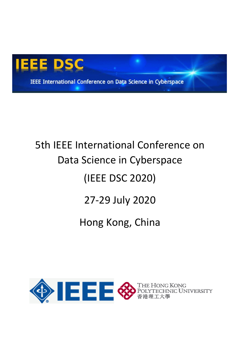

IEEE International Conference on Data Science in Cyberspace

# 5th IEEE International Conference on Data Science in Cyberspace (IEEE DSC 2020) 27-29 July 2020



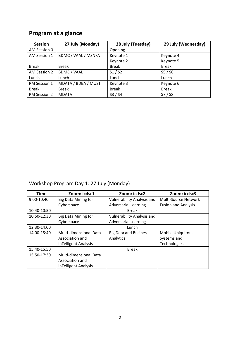# **Program at a glance**

| <b>Session</b> | 27 July (Monday)    | 28 July (Tuesday) | 29 July (Wednesday)            |
|----------------|---------------------|-------------------|--------------------------------|
| AM Session 0   |                     | Opening           |                                |
| AM Session 1   | BDMC / VAAL / MSNFA | Keynote 1         | Keynote 4                      |
|                |                     | Keynote 2         | Keynote 5                      |
| <b>Break</b>   | <b>Break</b>        | <b>Break</b>      | <b>Break</b>                   |
| AM Session 2   | <b>BDMC / VAAL</b>  | S1 / S2           | S <sub>5</sub> /S <sub>6</sub> |
| Lunch          | Lunch               | Lunch             | Lunch                          |
| PM Session 1   | MDATA / BDBA / MUST | Keynote 3         | Keynote 6                      |
| <b>Break</b>   | <b>Break</b>        | <b>Break</b>      | <b>Break</b>                   |
| PM Session 2   | <b>MDATA</b>        | S3 / S4           | S7 / S8                        |

## Workshop Program Day 1: 27 July (Monday)

| <b>Time</b> | Zoom: icdsc1               | Zoom: icdsc2                      | Zoom: icdsc3               |
|-------------|----------------------------|-----------------------------------|----------------------------|
| 9:00-10:40  | <b>Big Data Mining for</b> | Vulnerability Analysis and        | Multi-Source Network       |
|             | Cyberspace                 | <b>Adversarial Learning</b>       | <b>Fusion and Analysis</b> |
| 10:40-10:50 | <b>Break</b>               |                                   |                            |
| 10:50-12:30 | <b>Big Data Mining for</b> | <b>Vulnerability Analysis and</b> |                            |
|             | Cyberspace                 | <b>Adversarial Learning</b>       |                            |
| 12:30-14:00 | Lunch                      |                                   |                            |
| 14:00-15:40 | Multi-dimensional Data     | <b>Big Data and Business</b>      | <b>Mobile Ubiquitous</b>   |
|             | Association and            | Analytics                         | Systems and                |
|             | inTelligent Analysis       |                                   | Technologies               |
| 15:40-15:50 | <b>Break</b>               |                                   |                            |
| 15:50-17:30 | Multi-dimensional Data     |                                   |                            |
|             | Association and            |                                   |                            |
|             | inTelligent Analysis       |                                   |                            |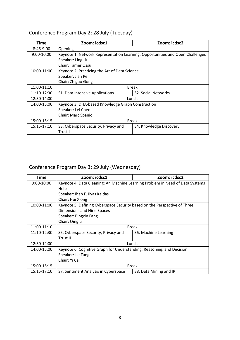| Time         | Zoom: icdsc1                                                                  | Zoom: icdsc2               |  |
|--------------|-------------------------------------------------------------------------------|----------------------------|--|
| $8:45-9:00$  | Opening                                                                       |                            |  |
| $9:00-10:00$ | Keynote 1: Network Representation Learning: Opportunities and Open Challenges |                            |  |
|              | Speaker: Ling Liu                                                             |                            |  |
|              | <b>Chair: Tamer Ozsu</b>                                                      |                            |  |
| 10:00-11:00  | Keynote 2: Practicing the Art of Data Science                                 |                            |  |
|              | Speaker: Jian Pei                                                             |                            |  |
|              | Chair: Zhiguo Gong                                                            |                            |  |
| 11:00-11:10  | <b>Break</b>                                                                  |                            |  |
| 11:10-12:30  | S1. Data Intensive Applications                                               | <b>S2. Social Networks</b> |  |
| 12:30-14:00  | Lunch                                                                         |                            |  |
| 14:00-15:00  | Keynote 3: DHA-based Knowledge Graph Construction                             |                            |  |
|              | Speaker: Lei Chen                                                             |                            |  |
|              | Chair: Marc Spaniol                                                           |                            |  |
| 15:00-15:15  | <b>Break</b>                                                                  |                            |  |
| 15:15-17:10  | S3. Cyberspace Security, Privacy and                                          | S4. Knowledge Discovery    |  |
|              | Trust I                                                                       |                            |  |

# Conference Program Day 2: 28 July (Tuesday)

# Conference Program Day 3: 29 July (Wednesday)

| Time        | Zoom: icdsc1                                                                  | Zoom: icdsc2           |  |
|-------------|-------------------------------------------------------------------------------|------------------------|--|
| 9:00-10:00  | Keynote 4: Data Cleaning: An Machine Learning Problem in Need of Data Systems |                        |  |
|             | Help                                                                          |                        |  |
|             | Speaker: Ihab F. Ilyas Kaldas                                                 |                        |  |
|             | Chair: Hui Xiong                                                              |                        |  |
| 10:00-11:00 | Keynote 5: Defining Cyberspace Security based on the Perspective of Three     |                        |  |
|             | Dimensions and Nine Spaces                                                    |                        |  |
|             | Speaker: Bingxin Fang                                                         |                        |  |
|             | Chair: Qing Li                                                                |                        |  |
| 11:00-11:10 | <b>Break</b>                                                                  |                        |  |
| 11:10-12:30 | S5. Cyberspace Security, Privacy and                                          | S6. Machine Learning   |  |
|             | Trust II                                                                      |                        |  |
| 12:30-14:00 | Lunch                                                                         |                        |  |
| 14:00-15:00 | Keynote 6: Cognitive Graph for Understanding, Reasoning, and Decision         |                        |  |
|             | Speaker: Jie Tang                                                             |                        |  |
|             | Chair: Yi Cai                                                                 |                        |  |
| 15:00-15:15 | <b>Break</b>                                                                  |                        |  |
| 15:15-17:10 | S7. Sentiment Analysis in Cyberspace                                          | S8. Data Mining and IR |  |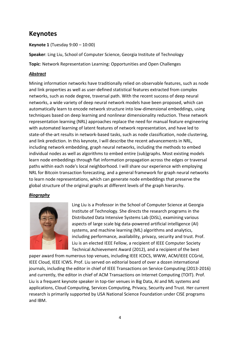# **Keynotes**

**Keynote 1** (Tuesday 9:00 – 10:00)

**Speaker**: Ling Liu, School of Computer Science, Georgia Institute of Technology

**Topic**: Network Representation Learning: Opportunities and Open Challenges

## *Abstract*

Mining information networks have traditionally relied on observable features, such as node and link properties as well as user-defined statistical features extracted from complex networks, such as node degree, traversal path. With the recent success of deep neural networks, a wide variety of deep neural network models have been proposed, which can automatically learn to encode network structure into low-dimensional embeddings, using techniques based on deep learning and nonlinear dimensionality reduction. These network representation learning (NRL) approaches replace the need for manual feature engineering with automated learning of latent features of network representation, and have led to state-of-the-art results in network-based tasks, such as node classification, node clustering, and link prediction. In this keynote, I will describe the recent advancements in NRL, including network embedding, graph neural networks, including the methods to embed individual nodes as well as algorithms to embed entire (sub)graphs. Most existing models learn node embeddings through flat information propagation across the edges or traversal paths within each node's local neighborhood. I will share our experience with employing NRL for Bitcoin transaction forecasting, and a general framework for graph neural networks to learn node representations, which can generate node embeddings that preserve the global structure of the original graphs at different levels of the graph hierarchy.

## *Biography*



Ling Liu is a Professor in the School of Computer Science at Georgia Institute of Technology. She directs the research programs in the Distributed Data Intensive Systems Lab (DiSL), examining various aspects of large scale big data-powered artificial intelligence (AI) systems, and machine learning (ML) algorithms and analytics, including performance, availability, privacy, security and trust. Prof. Liu is an elected IEEE Fellow, a recipient of IEEE Computer Society Technical Achievement Award (2012), and a recipient of the best

paper award from numerous top venues, including IEEE ICDCS, WWW, ACM/IEEE CCGrid, IEEE Cloud, IEEE ICWS. Prof. Liu served on editorial board of over a dozen international journals, including the editor in chief of IEEE Transactions on Service Computing (2013-2016) and currently, the editor in chief of ACM Transactions on Internet Computing (TOIT). Prof. Liu is a frequent keynote speaker in top-tier venues in Big Data, AI and ML systems and applications, Cloud Computing, Services Computing, Privacy, Security and Trust. Her current research is primarily supported by USA National Science Foundation under CISE programs and IBM.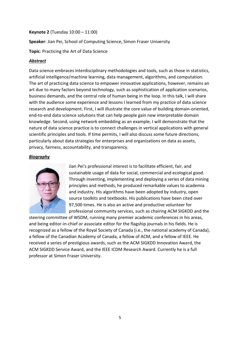#### **Keynote 2** (Tuesday 10:00 – 11:00)

**Speaker**: Jian Pei, School of Computing Science, Simon Fraser University

**Topic**: Practicing the Art of Data Science

## *Abstract*

Data science embraces interdisciplinary methodologies and tools, such as those in statistics, artificial intelligence/machine learning, data management, algorithms, and computation. The art of practicing data science to empower innovative applications, however, remains an art due to many factors beyond technology, such as sophistication of application scenarios, business demands, and the central role of human being in the loop. In this talk, I will share with the audience some experience and lessons I learned from my practice of data science research and development. First, I will illustrate the core value of building domain-oriented, end-to-end data science solutions that can help people gain new interpretable domain knowledge. Second, using network embedding as an example, I will demonstrate that the nature of data science practice is to connect challenges in vertical applications with general scientific principles and tools. If time permits, I will also discuss some future directions, particularly about data strategies for enterprises and organizations on data as assets, privacy, fairness, accountability, and transparency.

#### *Biography*



Jian Pei's professional interest is to facilitate efficient, fair, and sustainable usage of data for social, commercial and ecological good. Through inventing, implementing and deploying a series of data mining principles and methods, he produced remarkable values to academia and industry. His algorithms have been adopted by industry, open source toolkits and textbooks. His publications have been cited over 97,500 times. He is also an active and productive volunteer for professional community services, such as chairing ACM SIGKDD and the

steering committee of WSDM, running many premier academic conferences in his areas, and being editor-in-chief or associate editor for the flagship journals in his fields. He is recognized as a fellow of the Royal Society of Canada (i.e., the national academy of Canada), a fellow of the Canadian Academy of Canada, a fellow of ACM, and a fellow of IEEE. He received a series of prestigious awards, such as the ACM SIGKDD Innovation Award, the ACM SIGKDD Service Award, and the IEEE ICDM Research Award. Currently he is a full professor at Simon Fraser University.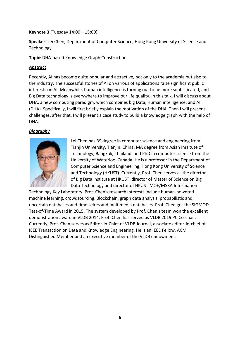## **Keynote 3** (Tuesday 14:00 – 15:00)

**Speaker**: Lei Chen, Department of Computer Science, Hong Kong University of Science and Technology

**Topic**: DHA-based Knowledge Graph Construction

## *Abstract*

Recently, AI has become quite popular and attractive, not only to the academia but also to the industry. The successful stories of AI on various of applications raise significant public interests on AI. Meanwhile, human intelligence is turning out to be more sophisticated, and Big Data technology is everywhere to improve our life quality. In this talk, I will discuss about DHA, a new computing paradigm, which combines big Data, Human intelligence, and AI (DHA). Specifically, I will first briefly explain the motivation of the DHA. Then I will present challenges, after that, I will present a case study to build a knowledge graph with the help of DHA.

#### *Biography*



Lei Chen has BS degree in computer science and engineering from Tianjin University, Tianjin, China, MA degree from Asian Institute of Technology, Bangkok, Thailand, and PhD in computer science from the University of Waterloo, Canada. He is a professor in the Department of Computer Science and Engineering, Hong Kong University of Science and Technology (HKUST). Currently, Prof. Chen serves as the director of Big Data Institute at HKUST, director of Master of Science on Big Data Technology and director of HKUST MOE/MSRA Information

Technology Key Laboratory. Prof. Chen's research interests include human-powered machine learning, crowdsourcing, Blockchain, graph data analysis, probabilistic and uncertain databases and time seires and multimedia databases. Prof. Chen got the SIGMOD Test-of-Time Award in 2015. The system developed by Prof. Chen's team won the excellent demonstration award in VLDB 2014. Prof. Chen has served as VLDB 2019 PC Co-chair. Currently, Prof. Chen serves as Editor-in-Chief of VLDB Journal, associate editor-in-chief of IEEE Transaction on Data and Knowledge Engineering. He is an IEEE Fellow, ACM Distinguished Member and an executive member of the VLDB endowment.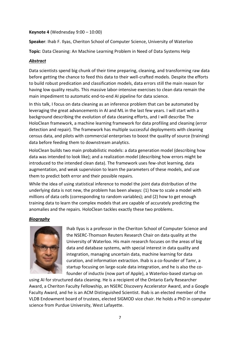#### **Keynote 4** (Wednesday 9:00 – 10:00)

**Speaker**: Ihab F. Ilyas, Cheriton School of Computer Science, University of Waterloo

**Topic**: Data Cleaning: An Machine Learning Problem in Need of Data Systems Help

## *Abstract*

Data scientists spend big chunk of their time preparing, cleaning, and transforming raw data before getting the chance to feed this data to their well-crafted models. Despite the efforts to build robust predication and classification models, data errors still the main reason for having low quality results. This massive labor-intensive exercises to clean data remain the main impediment to automatic end-to-end AI pipeline for data science.

In this talk, I focus on data cleaning as an inference problem that can be automated by leveraging the great advancements in AI and ML in the last few years. I will start with a background describing the evolution of data cleaning efforts, and I will describe The HoloClean framework, a machine learning framework for data profiling and cleaning (error detection and repair). The framework has multiple successful deployments with cleaning census data, and pilots with commercial enterprises to boost the quality of source (training) data before feeding them to downstream analytics.

HoloClean builds two main probabilistic models: a data generation model (describing how data was intended to look like); and a realization model (describing how errors might be introduced to the intended clean data). The framework uses few-shot learning, data augmentation, and weak supervision to learn the parameters of these models, and use them to predict both error and their possible repairs.

While the idea of using statistical inference to model the joint data distribution of the underlying data is not new, the problem has been always: (1) how to scale a model with millions of data cells (corresponding to random variables); and (2) how to get enough training data to learn the complex models that are capable of accurately predicting the anomalies and the repairs. HoloClean tackles exactly these two problems.

## *Biography*



Ihab Ilyas is a professor in the Cheriton School of Computer Science and the NSERC-Thomson Reuters Research Chair on data quality at the University of Waterloo. His main research focuses on the areas of big data and database systems, with special interest in data quality and integration, managing uncertain data, machine learning for data curation, and information extraction. Ihab is a co-founder of Tamr, a startup focusing on large-scale data integration, and he is also the cofounder of inductiv (now part of Apple), a Waterloo-based startup on

using AI for structured data cleaning. He is a recipient of the Ontario Early Researcher Award, a Cheriton Faculty Fellowship, an NSERC Discovery Accelerator Award, and a Google Faculty Award, and he is an ACM Distinguished Scientist. Ihab is an elected member of the VLDB Endowment board of trustees, elected SIGMOD vice chair. He holds a PhD in computer science from Purdue University, West Lafayette.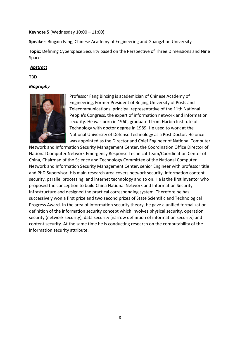#### **Keynote 5** (Wednesday 10:00 – 11:00)

**Speaker**: Bingxin Fang, Chinese Academy of Engineering and Guangzhou University

**Topic**: Defining Cyberspace Security based on the Perspective of Three Dimensions and Nine Spaces

#### *Abstract*

TBD

## *Biography*



Professor Fang Binxing is academician of Chinese Academy of Engineering, Former President of Beijing University of Posts and Telecommunications, principal representative of the 11th National People's Congress, the expert of information network and information security. He was born in 1960, graduated from Harbin Institute of Technology with doctor degree in 1989. He used to work at the National University of Defense Technology as a Post Doctor. He once was appointed as the Director and Chief Engineer of National Computer

Network and Information Security Management Center, the Coordination Office Director of National Computer Network Emergency Response Technical Team/Coordination Center of China, Chairman of the Science and Technology Committee of the National Computer Network and Information Security Management Center, senior Engineer with professor title and PhD Supervisor. His main research area covers network security, information content security, parallel processing, and internet technology and so on. He is the first inventor who proposed the conception to build China National Network and Information Security Infrastructure and designed the practical corresponding system. Therefore he has successively won a first prize and two second prizes of State Scientific and Technological Progress Award. In the area of information security theory, he gave a unified formalization definition of the information security concept which involves physical security, operation security (network security), data security (narrow definition of information security) and content security. At the same time he is conducting research on the computability of the information security attribute.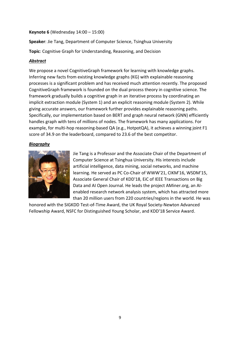#### **Keynote 6** (Wednesday 14:00 – 15:00)

**Speaker**: Jie Tang, Department of Computer Science, Tsinghua University

**Topic**: Cognitive Graph for Understanding, Reasoning, and Decision

## *Abstract*

We propose a novel CognitiveGraph framework for learning with knowledge graphs. Inferring new facts from existing knowledge graphs (KG) with explainable reasoning processes is a significant problem and has received much attention recently. The proposed CognitiveGraph framework is founded on the dual process theory in cognitive science. The framework gradually builds a cognitive graph in an iterative process by coordinating an implicit extraction module (System 1) and an explicit reasoning module (System 2). While giving accurate answers, our framework further provides explainable reasoning paths. Specifically, our implementation based on BERT and graph neural network (GNN) efficiently handles graph with tens of millions of nodes. The framework has many applications. For example, for multi-hop reasoning-based QA (e.g., HotpotQA), it achieves a winning joint F1 score of 34.9 on the leaderboard, compared to 23.6 of the best competitor.

## *Biography*



Jie Tang is a Professor and the Associate Chair of the Department of Computer Science at Tsinghua University. His interests include artificial intelligence, data mining, social networks, and machine learning. He served as PC Co-Chair of WWW'21, CIKM'16, WSDM'15, Associate General Chair of KDD'18, EiC of IEEE Transactions on Big Data and AI Open Journal. He leads the project AMiner.org, an AIenabled research network analysis system, which has attracted more than 20 million users from 220 countries/regions in the world. He was

honored with the SIGKDD Test-of-Time Award, the UK Royal Society-Newton Advanced Fellowship Award, NSFC for Distinguished Young Scholar, and KDD'18 Service Award.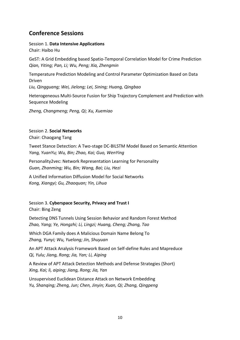## **Conference Sessions**

Session 1. **Data Intensive Applications** Chair: Haibo Hu

GeST: A Grid Embedding based Spatio-Temporal Correlation Model for Crime Prediction *Qian, Yiting; Pan, Li; Wu, Peng; Xia, Zhengmin*

Temperature Prediction Modeling and Control Parameter Optimization Based on Data Driven

*Liu, Qingguang; Wei, Jielong; Lei, Sining; Huang, Qingbao*

Heterogeneous Multi-Source Fusion for Ship Trajectory Complement and Prediction with Sequence Modeling

*Zheng, Changmeng; Peng, Qi; Xu, Xuemiao*

# Session 2. **Social Networks**

Chair: Chaogang Tang

Tweet Stance Detection: A Two-stage DC-BILSTM Model Based on Semantic Attention *Yang, YuanYu; Wu, Bin; Zhao, Kai; Guo, WenYing*

Personality2vec: Network Representation Learning for Personality *Guan, Zhanming; Wu, Bin; Wang, Bai; Liu, Hezi*

A Unified Information Diffusion Model for Social Networks *Kong, Xiangyi; Gu, Zhaoquan; Yin, Lihua*

Session 3. **Cyberspace Security, Privacy and Trust I** Chair: Bing Zeng

Detecting DNS Tunnels Using Session Behavior and Random Forest Method *Zhao, Yang; Ye, Hongzhi; Li, Lingzi; Huang, Cheng; Zhang, Tao*

Which DGA Family does A Malicious Domain Name Belong To *Zhang, Yunyi; Wu, Yuelong; Jin, Shuyuan*

An APT Attack Analysis Framework Based on Self-define Rules and Mapreduce *Qi, Yulu; Jiang, Rong; Jia, Yan; Li, Aiping*

A Review of APT Attack Detection Methods and Defense Strategies (Short) *Xing, Kai; li, aiping; Jiang, Rong; Jia, Yan*

Unsupervised Euclidean Distance Attack on Network Embedding *Yu, Shanqing; Zheng, Jun; Chen, Jinyin; Xuan, Qi; Zhang, Qingpeng*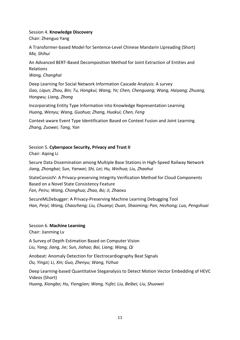#### Session 4. **Knowledge Discovery**

Chair: Zhenguo Yang

A Transformer-based Model for Sentence-Level Chinese Mandarin Lipreading (Short) *Ma, Shihui*

An Advanced BERT-Based Decomposition Method for Joint Extraction of Entities and Relations *Wang, Changhai*

Deep Learning for Social Network Information Cascade Analysis: A survey *Gao, Liqun; Zhou, Bin; Tu, Hongkui; Wang, Ye; Chen, Chenguang; Wang, Haiyang; Zhuang, Hongwu; Liang, Zhang*

Incorporating Entity Type Information into Knowledge Representation Learning *Huang, Wenyu; Wang, Guohua; Zhang, Huakui; Chen, Feng*

Context-aware Event Type Identification Based on Context Fusion and Joint Learning *Zhang, Zuowei; Tang, Yan*

Session 5. **Cyberspace Security, Privacy and Trust II** Chair: Aiping Li

Secure Data Dissemination among Multiple Base Stations in High-Speed Railway Network *Jiang, Zhongbai; Sun, Yanwei; Shi, Lei; Hu, Weihua; Liu, Zhaohui*

StateConsisIV: A Privacy-preserving Integrity Verification Method for Cloud Components Based on a Novel State Consistency Feature *Fan, Peiru; Wang, Chonghua; Zhao, Bo; Ji, Zhaoxu*

SecureMLDebugger: A Privacy-Preserving Machine Learning Debugging Tool *Han, Peiyi; Wang, Chaozheng; Liu, Chuanyi; Duan, Shaoming; Pan, Hezhong; Luo, Pengshuai*

Session 6. **Machine Learning** Chair: Jianming Lv

A Survey of Depth Estimation Based on Computer Vision *Liu, Yang; Jiang, Jie; Sun, Jiahao; Bai, Liang; Wang, Qi*

Anobeat: Anomaly Detection for Electrocardiography Beat Signals *Ou, Yingzi; Li, Xin; Guo, Zhenyu; Wang, Yizhuo*

Deep Learning-based Quantitative Steganalysis to Detect Motion Vector Embedding of HEVC Videos (Short) *Huang, Xiongbo; Hu, Yiongjian; Wang, Yufei; Liu, Beibei; Liu, Shuowei*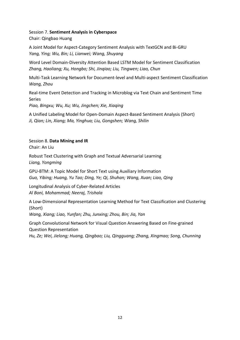Session 7. **Sentiment Analysis in Cyberspace**

Chair: Qingbao Huang

A Joint Model for Aspect-Category Sentiment Analysis with TextGCN and Bi-GRU *Yang, Ying; Wu, Bin; Li, Lianwei; Wang, Shuyang*

Word Level Domain-Diversity Attention Based LSTM Model for Sentiment Classification *Zhang, Haoliang; Xu, Hongbo; Shi, Jinqiao; Liu, Tingwen; Liao, Chun*

Multi-Task Learning Network for Document-level and Multi-aspect Sentiment Classification *Wang, Zhou*

Real-time Event Detection and Tracking in Microblog via Text Chain and Sentiment Time Series

*Piao, Bingxu; Wu, Xu; Wu, Jingchen; Xie, Xiaqing*

A Unified Labeling Model for Open-Domain Aspect-Based Sentiment Analysis (Short) *Ji, Qian; Lin, Xiang; Ma, Yinghua; Liu, Gongshen; Wang, Shilin*

Session 8. **Data Mining and IR** Chair: An Liu

Robust Text Clustering with Graph and Textual Adversarial Learning *Liang, Yongming*

GPU-BTM: A Topic Model for Short Text using Auxiliary Information *Guo, Yibing; Huang, Yu Tao; Ding, Ye; Qi, Shuhan; Wang, Xuan; Liao, Qing*

Longitudinal Analysis of Cyber-Related Articles *Al Boni, Mohammad; Neeraj, Trishala*

A Low-Dimensional Representation Learning Method for Text Classification and Clustering (Short)

*Wang, Xiang; Liao, Yunfan; Zhu, Junxing; Zhou, Bin; Jia, Yan*

Graph Convolutional Network for Visual Question Answering Based on Fine-grained Question Representation

*Hu, Ze; Wei, Jielong; Huang, Qingbao; Liu, Qingguang; Zhang, Xingmao; Song, Chunning*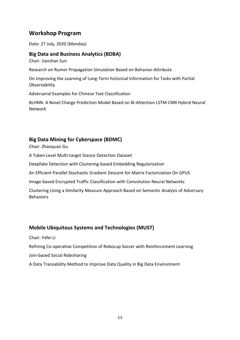## **Workshop Program**

Date: 27 July, 2020 (Monday)

## **Big Data and Business Analytics (BDBA)**

Chair: Jianshan Sun

Research on Rumor Propagation Simulation Based on Behavior-Attribute

On Improving the Learning of Long-Term historical Information for Tasks with Partial **Observability** 

Adversarial Examples for Chinese Text Classification

BLHNN: A Novel Charge Prediction Model Based on Bi-Attention LSTM-CNN Hybrid Neural Network

## **Big Data Mining for Cyberspace (BDMC)**

Chair: Zhaoquan Gu

A Token Level Multi-target Stance Detection Dataset

Deepfake Detection with Clustering-based Embedding Regularization

An Efficient Parallel Stochastic Gradient Descent for Matrix Factorization On GPUS

Image-based Encrypted Traffic Classification with Convolution Neural Networks

Clustering Using a Similarity Measure Approach Based on Semantic Analysis of Adversary Behaviors

## **Mobile Ubiquitous Systems and Technologies (MUST)**

Chair: Yafei Li

Refining Co-operative Competition of Robocup Soccer with Reinforcement Learning

Join-based Social Ridesharing

A Data Traceability Method to Improve Data Quality in Big Data Environment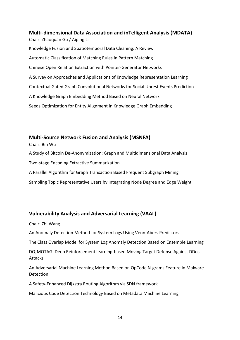**Multi-dimensional Data Association and inTelligent Analysis (MDATA)**  Chair: Zhaoquan Gu / Aiping Li Knowledge Fusion and Spatiotemporal Data Cleaning: A Review Automatic Classification of Matching Rules in Pattern Matching Chinese Open Relation Extraction with Pointer-Generator Networks A Survey on Approaches and Applications of Knowledge Representation Learning Contextual Gated Graph Convolutional Networks for Social Unrest Events Prediction A Knowledge Graph Embedding Method Based on Neural Network Seeds Optimization for Entity Alignment in Knowledge Graph Embedding

## **Multi-Source Network Fusion and Analysis (MSNFA)**

Chair: Bin Wu

A Study of Bitcoin De-Anonymization: Graph and Multidimensional Data Analysis

Two-stage Encoding Extractive Summarization

A Parallel Algorithm for Graph Transaction Based Frequent Subgraph Mining

Sampling Topic Representative Users by Integrating Node Degree and Edge Weight

## **Vulnerability Analysis and Adversarial Learning (VAAL)**

Chair: Zhi Wang

An Anomaly Detection Method for System Logs Using Venn-Abers Predictors

The Class Overlap Model for System Log Anomaly Detection Based on Ensemble Learning

DQ-MOTAG: Deep Reinforcement learning-based Moving Target Defense Against DDos Attacks

An Adversarial Machine Learning Method Based on OpCode N-grams Feature in Malware **Detection** 

A Safety-Enhanced Dijkstra Routing Algorithm via SDN framework

Malicious Code Detection Technology Based on Metadata Machine Learning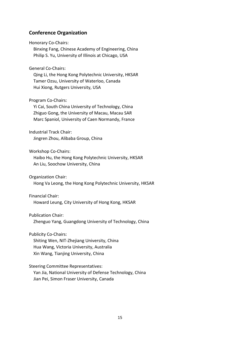## **Conference Organization**

Honorary Co-Chairs:

 Binxing Fang, Chinese Academy of Engineering, China Philip S. Yu, University of Illinois at Chicago, USA

General Co-Chairs:

 Qing Li, the Hong Kong Polytechnic University, HKSAR Tamer Ozsu, University of Waterloo, Canada Hui Xiong, Rutgers University, USA

Program Co-Chairs:

 Yi Cai, South China University of Technology, China Zhiguo Gong, the University of Macau, Macau SAR Marc Spaniol, University of Caen Normandy, France

Industrial Track Chair: Jingren Zhou, Alibaba Group, China

Workshop Co-Chairs:

 Haibo Hu, the Hong Kong Polytechnic University, HKSAR An Liu, Soochow University, China

Organization Chair:

Hong Va Leong, the Hong Kong Polytechnic University, HKSAR

Financial Chair:

Howard Leung, City University of Hong Kong, HKSAR

Publication Chair:

Zhenguo Yang, Guangdong University of Technology, China

Publicity Co-Chairs:

 Shiting Wen, NIT-Zhejiang University, China Hua Wang, Victoria University, Australia Xin Wang, Tianjing University, China

Steering Committee Representatives:

 Yan Jia, National University of Defense Technology, China Jian Pei, Simon Fraser University, Canada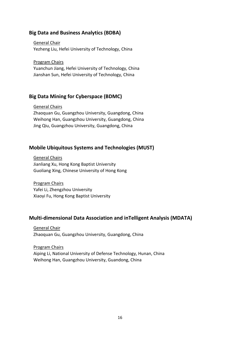## **Big Data and Business Analytics (BDBA)**

 General Chair Yezheng Liu, Hefei University of Technology, China

Program Chairs

 Yuanchun Jiang, Hefei University of Technology, China Jianshan Sun, Hefei University of Technology, China

## **Big Data Mining for Cyberspace (BDMC)**

#### General Chairs

 Zhaoquan Gu, Guangzhou University, Guangdong, China Weihong Han, Guangzhou University, Guangdong, China Jing Qiu, Guangzhou University, Guangdong, China

## **Mobile Ubiquitous Systems and Technologies (MUST)**

 General Chairs Jianliang Xu, Hong Kong Baptist University Guoliang Xing, Chinese University of Hong Kong

 Program Chairs Yafei Li, Zhengzhou University Xiaoyi Fu, Hong Kong Baptist University

## **Multi-dimensional Data Association and inTelligent Analysis (MDATA)**

 General Chair Zhaoquan Gu, Guangzhou University, Guangdong, China

 Program Chairs Aiping Li, National University of Defense Technology, Hunan, China Weihong Han, Guangzhou University, Guandong, China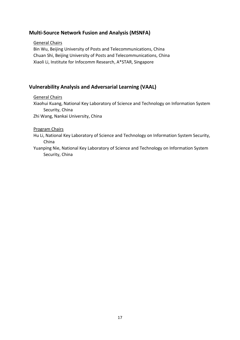## **Multi-Source Network Fusion and Analysis (MSNFA)**

## General Chairs

 Bin Wu, Beijing University of Posts and Telecommunications, China Chuan Shi, Beijing University of Posts and Telecommunications, China Xiaoli Li, Institute for Infocomm Research, A\*STAR, Singapore

## **Vulnerability Analysis and Adversarial Learning (VAAL)**

General Chairs

 Xiaohui Kuang, National Key Laboratory of Science and Technology on Information System Security, China

Zhi Wang, Nankai University, China

Program Chairs

 Hu Li, National Key Laboratory of Science and Technology on Information System Security, China

 Yuanping Nie, National Key Laboratory of Science and Technology on Information System Security, China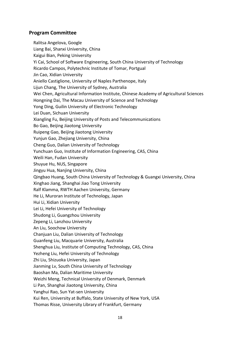## **Program Committee**

 Ralitsa Angelova, Google Liang Bai, Shanxi University, China Kaigui Bian, Peking University Yi Cai, School of Software Engineering, South China University of Technology Ricardo Campos, Polytechnic Institute of Tomar, Portgual Jin Cao, Xidian University Aniello Castiglione, University of Naples Parthenope, Italy Lijun Chang, The University of Sydney, Australia Wei Chen, Agricultural Information Institute, Chinese Academy of Agricultural Sciences Hongning Dai, The Macau University of Science and Technology Yong Ding, Guilin University of Electronic Technology Lei Duan, Sichuan University Xiangling Fu, Beijing University of Posts and Telecommunications Bo Gao, Beijing Jiaotong University Ruipeng Gao, Beijing Jiaotong University Yunjun Gao, Zhejiang University, China Cheng Guo, Dalian University of Technology Yunchuan Guo, Institute of Information Engineering, CAS, China Weili Han, Fudan University Shuyue Hu, NUS, Singapore Jingyu Hua, Nanjing University, China Qingbao Huang, South China University of Technology & Guangxi University, China Xinghao Jiang, Shanghai Jiao Tong University Ralf Klamma, RWTH Aachen University, Germany He Li, Muroran Institute of Technology, Japan Hui Li, Xidian University Lei Li, Hefei University of Technology Shudong Li, Guangzhou University Zepeng Li, Lanzhou University An Liu, Soochow University Chanjuan Liu, Dalian University of Technology Guanfeng Liu, Macquarie University, Australia Shenghua Liu, Institute of Computing Technology, CAS, China Yezheng Liu, Hefei University of Technology Zhi Liu, Shizuoka University, Japan Jianming Lv, South China University of Technology Baoshan Ma, Dalian Maritime University Weizhi Meng, Technical University of Denmark, Denmark Li Pan, Shanghai Jiaotong University, China Yanghui Rao, Sun Yat-sen University Kui Ren, University at Buffalo, State University of New York, USA Thomas Risse, University Library of Frankfurt, Germany